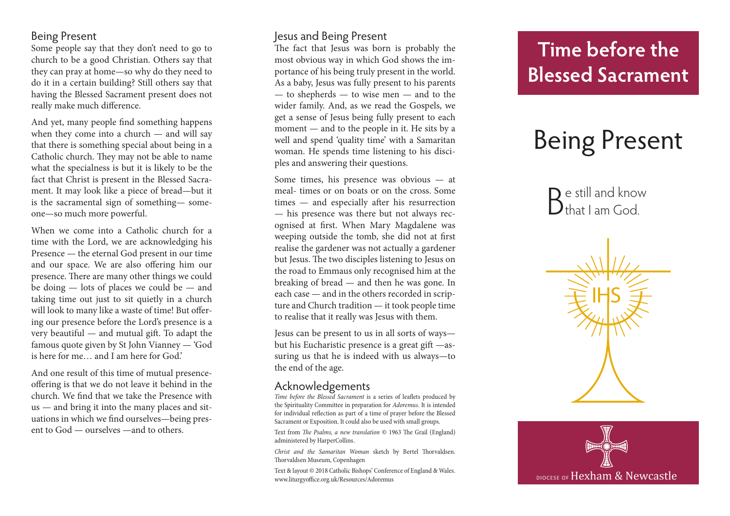### Being Present

Some people say that they don't need to go to church to be a good Christian. Others say that they can pray at home—so why do they need to do it in a certain building? Still others say that having the Blessed Sacrament present does not really make much difference.

And yet, many people find something happens when they come into a church — and will say that there is something special about being in a Catholic church. They may not be able to name what the specialness is but it is likely to be the fact that Christ is present in the Blessed Sacra ment. It may look like a piece of bread—but it is the sacramental sign of something— some one—so much more powerful.

When we come into a Catholic church for a time with the Lord, we are acknowledging his Presence — the eternal God present in our time and our space. We are also offering him our presence. There are many other things we could be doing — lots of places we could be — and taking time out just to sit quietly in a church will look to many like a waste of time! But offer ing our presence before the Lord's presence is a very beautiful — and mutual gift. To adapt the famous quote given by St John Vianney — 'God is here for me… and I am here for God.'

And one result of this time of mutual presenceoffering is that we do not leave it behind in the church. We find that we take the Presence with us — and bring it into the many places and sit uations in which we find ourselves—being pres ent to God — ourselves —and to others.

### Jesus and Being Present

The fact that Jesus was born is probably the most obvious way in which God shows the im portance of his being truly present in the world. As a baby, Jesus was fully present to his parents — to shepherds — to wise men — and to the wider family. And, as we read the Gospels, we get a sense of Jesus being fully present to each moment — and to the people in it. He sits by a well and spend 'quality time' with a Samaritan woman. He spends time listening to his disci ples and answering their questions.

Some times, his presence was obvious — at meal- times or on boats or on the cross. Some times — and especially after his resurrection — his presence was there but not always rec ognised at first. When Mary Magdalene was weeping outside the tomb, she did not at first realise the gardener was not actually a gardener but Jesus. The two disciples listening to Jesus on the road to Emmaus only recognised him at the breaking of bread — and then he was gone. In each case — and in the others recorded in scrip ture and Church tradition — it took people time to realise that it really was Jesus with them.

Jesus can be present to us in all sorts of ways but his Eucharistic presence is a great gift —as suring us that he is indeed with us always—to the end of the age.

#### Acknowledgements

*Time before the Blessed Sacrament* is a series of leaflets produced by the Spirituality Committee in preparation for *Adoremus*. It is intended for individual reflection as part of a time of prayer before the Blessed Sacrament or Exposition. It could also be used with small groups.

Text from *The Psalms, a new translation* © 1963 The Grail (England) administered by HarperCollins.

*Christ and the Samaritan Woman* sketch by Bertel Thorvaldsen. Thorvaldsen Museum, Copenhagen

Text & layout © 2018 Catholic Bishops' Conference of England & Wales. www.liturgyoffice.org.uk/Resources/Adoremus

# **Time before the Blessed Sacrament**

# Being Present

 $\mathbf{D}$  e still and know  $D$ that I am God.